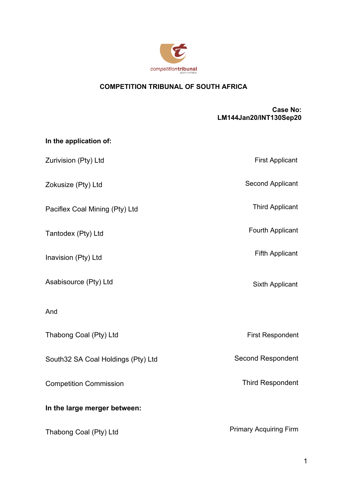

# **COMPETITION TRIBUNAL OF SOUTH AFRICA**

#### **Case No: LM144Jan20/INT130Sep20**

| In the application of:             |                               |
|------------------------------------|-------------------------------|
| Zurivision (Pty) Ltd               | <b>First Applicant</b>        |
| Zokusize (Pty) Ltd                 | <b>Second Applicant</b>       |
| Paciflex Coal Mining (Pty) Ltd     | <b>Third Applicant</b>        |
| Tantodex (Pty) Ltd                 | Fourth Applicant              |
| Inavision (Pty) Ltd                | <b>Fifth Applicant</b>        |
| Asabisource (Pty) Ltd              | Sixth Applicant               |
| And                                |                               |
| Thabong Coal (Pty) Ltd             | <b>First Respondent</b>       |
| South32 SA Coal Holdings (Pty) Ltd | <b>Second Respondent</b>      |
| <b>Competition Commission</b>      | <b>Third Respondent</b>       |
| In the large merger between:       |                               |
| Thabong Coal (Pty) Ltd             | <b>Primary Acquiring Firm</b> |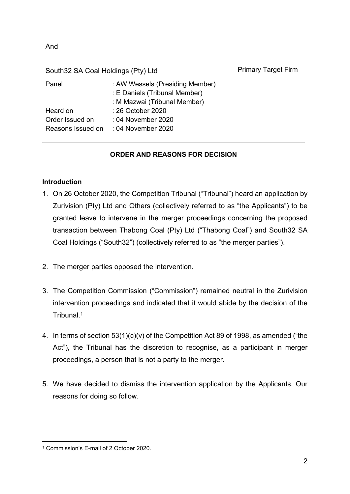And

South32 SA Coal Holdings (Pty) Ltd Primary Target Firm

| Panel           | : AW Wessels (Presiding Member)      |
|-----------------|--------------------------------------|
|                 | : E Daniels (Tribunal Member)        |
|                 | : M Mazwai (Tribunal Member)         |
| Heard on        | : 26 October 2020                    |
| Order Issued on | : 04 November 2020                   |
|                 | Reasons Issued on : 04 November 2020 |
|                 |                                      |

## **ORDER AND REASONS FOR DECISION**

### **Introduction**

- 1. On 26 October 2020, the Competition Tribunal ("Tribunal") heard an application by Zurivision (Pty) Ltd and Others (collectively referred to as "the Applicants") to be granted leave to intervene in the merger proceedings concerning the proposed transaction between Thabong Coal (Pty) Ltd ("Thabong Coal") and South32 SA Coal Holdings ("South32") (collectively referred to as "the merger parties").
- 2. The merger parties opposed the intervention.
- 3. The Competition Commission ("Commission") remained neutral in the Zurivision intervention proceedings and indicated that it would abide by the decision of the Tribunal.<sup>1</sup>
- 4. In terms of section 53(1)(c)(v) of the Competition Act 89 of 1998, as amended ("the Act"), the Tribunal has the discretion to recognise, as a participant in merger proceedings, a person that is not a party to the merger.
- 5. We have decided to dismiss the intervention application by the Applicants. Our reasons for doing so follow.

<sup>1</sup> Commission's E-mail of 2 October 2020.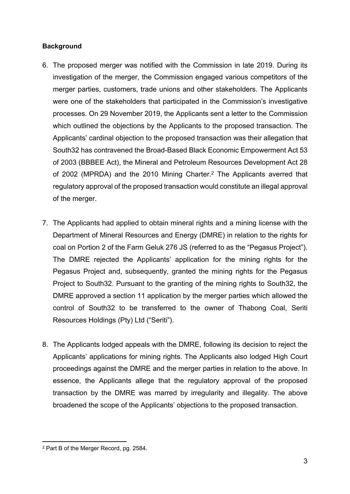#### **Background**

- 6. The proposed merger was notified with the Commission in late 2019. During its investigation of the merger, the Commission engaged various competitors of the merger parties, customers, trade unions and other stakeholders. The Applicants were one of the stakeholders that participated in the Commission's investigative processes. On 29 November 2019, the Applicants sent a letter to the Commission which outlined the objections by the Applicants to the proposed transaction. The Applicants' cardinal objection to the proposed transaction was their allegation that South32 has contravened the Broad-Based Black Economic Empowerment Act 53 of 2003 (BBBEE Act), the Mineral and Petroleum Resources Development Act 28 of 2002 (MPRDA) and the 2010 Mining Charter.<sup>2</sup> The Applicants averred that regulatory approval of the proposed transaction would constitute an illegal approval of the merger.
- 7. The Applicants had applied to obtain mineral rights and a mining license with the Department of Mineral Resources and Energy (DMRE) in relation to the rights for coal on Portion 2 of the Farm Geluk 276 JS (referred to as the "Pegasus Project"). The DMRE rejected the Applicants' application for the mining rights for the Pegasus Project and, subsequently, granted the mining rights for the Pegasus Project to South32. Pursuant to the granting of the mining rights to South32, the DMRE approved a section 11 application by the merger parties which allowed the control of South32 to be transferred to the owner of Thabong Coal, Seriti Resources Holdings (Pty) Ltd ("Seriti").
- 8. The Applicants lodged appeals with the DMRE, following its decision to reject the Applicants' applications for mining rights. The Applicants also lodged High Court proceedings against the DMRE and the merger parties in relation to the above. In essence, the Applicants allege that the regulatory approval of the proposed transaction by the DMRE was marred by irregularity and illegality. The above broadened the scope of the Applicants' objections to the proposed transaction.

<sup>2</sup> Part B of the Merger Record, pg. 2584.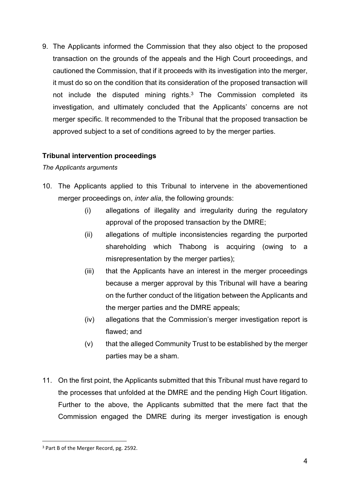9. The Applicants informed the Commission that they also object to the proposed transaction on the grounds of the appeals and the High Court proceedings, and cautioned the Commission, that if it proceeds with its investigation into the merger, it must do so on the condition that its consideration of the proposed transaction will not include the disputed mining rights.<sup>3</sup> The Commission completed its investigation, and ultimately concluded that the Applicants' concerns are not merger specific. It recommended to the Tribunal that the proposed transaction be approved subject to a set of conditions agreed to by the merger parties.

#### **Tribunal intervention proceedings**

*The Applicants arguments*

- 10. The Applicants applied to this Tribunal to intervene in the abovementioned merger proceedings on, *inter alia*, the following grounds:
	- (i) allegations of illegality and irregularity during the regulatory approval of the proposed transaction by the DMRE;
	- (ii) allegations of multiple inconsistencies regarding the purported shareholding which Thabong is acquiring (owing to a misrepresentation by the merger parties);
	- (iii) that the Applicants have an interest in the merger proceedings because a merger approval by this Tribunal will have a bearing on the further conduct of the litigation between the Applicants and the merger parties and the DMRE appeals;
	- (iv) allegations that the Commission's merger investigation report is flawed; and
	- (v) that the alleged Community Trust to be established by the merger parties may be a sham.
- 11. On the first point, the Applicants submitted that this Tribunal must have regard to the processes that unfolded at the DMRE and the pending High Court litigation. Further to the above, the Applicants submitted that the mere fact that the Commission engaged the DMRE during its merger investigation is enough

<sup>&</sup>lt;sup>3</sup> Part B of the Merger Record, pg. 2592.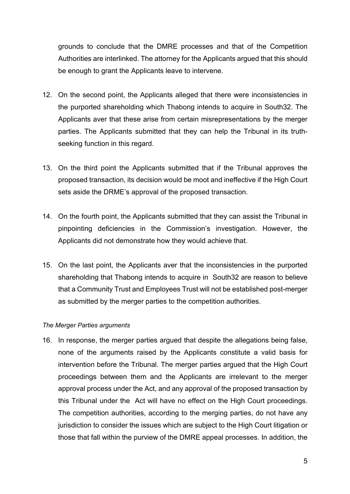grounds to conclude that the DMRE processes and that of the Competition Authorities are interlinked. The attorney for the Applicants argued that this should be enough to grant the Applicants leave to intervene.

- 12. On the second point, the Applicants alleged that there were inconsistencies in the purported shareholding which Thabong intends to acquire in South32. The Applicants aver that these arise from certain misrepresentations by the merger parties. The Applicants submitted that they can help the Tribunal in its truthseeking function in this regard.
- 13. On the third point the Applicants submitted that if the Tribunal approves the proposed transaction, its decision would be moot and ineffective if the High Court sets aside the DRME's approval of the proposed transaction.
- 14. On the fourth point, the Applicants submitted that they can assist the Tribunal in pinpointing deficiencies in the Commission's investigation. However, the Applicants did not demonstrate how they would achieve that.
- 15. On the last point, the Applicants aver that the inconsistencies in the purported shareholding that Thabong intends to acquire in South32 are reason to believe that a Community Trust and Employees Trust will not be established post-merger as submitted by the merger parties to the competition authorities.

#### *The Merger Parties arguments*

16. In response, the merger parties argued that despite the allegations being false, none of the arguments raised by the Applicants constitute a valid basis for intervention before the Tribunal. The merger parties argued that the High Court proceedings between them and the Applicants are irrelevant to the merger approval process under the Act, and any approval of the proposed transaction by this Tribunal under the Act will have no effect on the High Court proceedings. The competition authorities, according to the merging parties, do not have any jurisdiction to consider the issues which are subject to the High Court litigation or those that fall within the purview of the DMRE appeal processes. In addition, the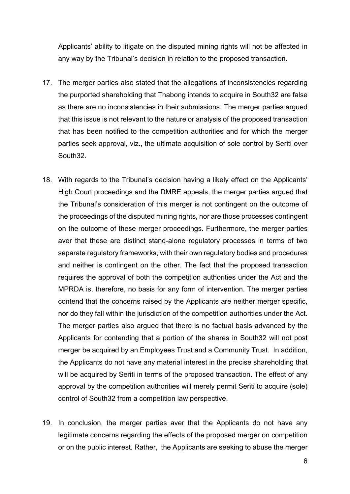Applicants' ability to litigate on the disputed mining rights will not be affected in any way by the Tribunal's decision in relation to the proposed transaction.

- 17. The merger parties also stated that the allegations of inconsistencies regarding the purported shareholding that Thabong intends to acquire in South32 are false as there are no inconsistencies in their submissions. The merger parties argued that this issue is not relevant to the nature or analysis of the proposed transaction that has been notified to the competition authorities and for which the merger parties seek approval, viz., the ultimate acquisition of sole control by Seriti over South32.
- 18. With regards to the Tribunal's decision having a likely effect on the Applicants' High Court proceedings and the DMRE appeals, the merger parties argued that the Tribunal's consideration of this merger is not contingent on the outcome of the proceedings of the disputed mining rights, nor are those processes contingent on the outcome of these merger proceedings. Furthermore, the merger parties aver that these are distinct stand-alone regulatory processes in terms of two separate regulatory frameworks, with their own regulatory bodies and procedures and neither is contingent on the other. The fact that the proposed transaction requires the approval of both the competition authorities under the Act and the MPRDA is, therefore, no basis for any form of intervention. The merger parties contend that the concerns raised by the Applicants are neither merger specific, nor do they fall within the jurisdiction of the competition authorities under the Act. The merger parties also argued that there is no factual basis advanced by the Applicants for contending that a portion of the shares in South32 will not post merger be acquired by an Employees Trust and a Community Trust. In addition, the Applicants do not have any material interest in the precise shareholding that will be acquired by Seriti in terms of the proposed transaction. The effect of any approval by the competition authorities will merely permit Seriti to acquire (sole) control of South32 from a competition law perspective.
- 19. In conclusion, the merger parties aver that the Applicants do not have any legitimate concerns regarding the effects of the proposed merger on competition or on the public interest. Rather, the Applicants are seeking to abuse the merger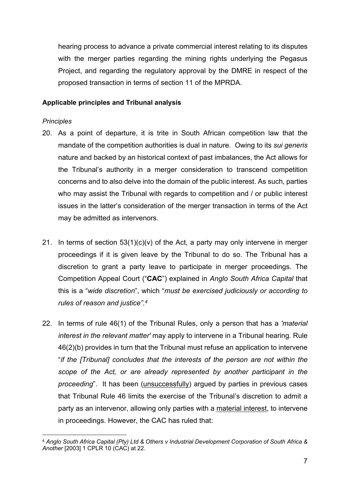hearing process to advance a private commercial interest relating to its disputes with the merger parties regarding the mining rights underlying the Pegasus Project, and regarding the regulatory approval by the DMRE in respect of the proposed transaction in terms of section 11 of the MPRDA.

#### **Applicable principles and Tribunal analysis**

#### *Principles*

- 20. As a point of departure, it is trite in South African competition law that the mandate of the competition authorities is dual in nature. Owing to its *sui generis* nature and backed by an historical context of past imbalances, the Act allows for the Tribunal's authority in a merger consideration to transcend competition concerns and to also delve into the domain of the public interest. As such, parties who may assist the Tribunal with regards to competition and / or public interest issues in the latter's consideration of the merger transaction in terms of the Act may be admitted as intervenors.
- 21. In terms of section  $53(1)(c)(v)$  of the Act, a party may only intervene in merger proceedings if it is given leave by the Tribunal to do so. The Tribunal has a discretion to grant a party leave to participate in merger proceedings. The Competition Appeal Court ("**CAC**") explained in *Anglo South Africa Capital* that this is a "*wide discretion*", which "*must be exercised judiciously or according to rules of reason and justice".<sup>4</sup>*
- 22. In terms of rule 46(1) of the Tribunal Rules, only a person that has a *'material interest in the relevant matter'* may apply to intervene in a Tribunal hearing. Rule 46(2)(b) provides in turn that the Tribunal must refuse an application to intervene "*if the [Tribunal] concludes that the interests of the person are not within the scope of the Act, or are already represented by another participant in the proceeding*". It has been (unsuccessfully) argued by parties in previous cases that Tribunal Rule 46 limits the exercise of the Tribunal's discretion to admit a party as an intervenor, allowing only parties with a material interest, to intervene in proceedings. However, the CAC has ruled that:

<sup>4</sup> *Anglo South Africa Capital (Pty) Ltd & Others v Industrial Development Corporation of South Africa & Another* [2003] 1 CPLR 10 (CAC) at 22.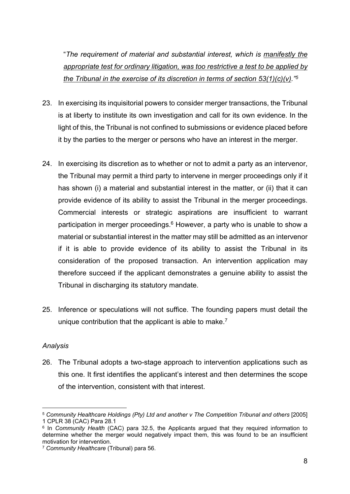"*The requirement of material and substantial interest, which is manifestly the appropriate test for ordinary litigation, was too restrictive a test to be applied by the Tribunal in the exercise of its discretion in terms of section 53(1)(c)(v)."<sup>5</sup>*

- 23. In exercising its inquisitorial powers to consider merger transactions, the Tribunal is at liberty to institute its own investigation and call for its own evidence. In the light of this, the Tribunal is not confined to submissions or evidence placed before it by the parties to the merger or persons who have an interest in the merger.
- 24. In exercising its discretion as to whether or not to admit a party as an intervenor, the Tribunal may permit a third party to intervene in merger proceedings only if it has shown (i) a material and substantial interest in the matter, or (ii) that it can provide evidence of its ability to assist the Tribunal in the merger proceedings. Commercial interests or strategic aspirations are insufficient to warrant participation in merger proceedings.<sup>6</sup> However, a party who is unable to show a material or substantial interest in the matter may still be admitted as an intervenor if it is able to provide evidence of its ability to assist the Tribunal in its consideration of the proposed transaction. An intervention application may therefore succeed if the applicant demonstrates a genuine ability to assist the Tribunal in discharging its statutory mandate.
- 25. Inference or speculations will not suffice. The founding papers must detail the unique contribution that the applicant is able to make.<sup>7</sup>

### *Analysis*

26. The Tribunal adopts a two-stage approach to intervention applications such as this one. It first identifies the applicant's interest and then determines the scope of the intervention, consistent with that interest.

<sup>5</sup> *Community Healthcare Holdings (Pty) Ltd and another v The Competition Tribunal and others* [2005] 1 CPLR 38 (CAC) Para 28.1

<sup>6</sup> In *Community Health* (CAC) para 32.5, the Applicants argued that they required information to determine whether the merger would negatively impact them, this was found to be an insufficient motivation for intervention.

<sup>7</sup> *Community Healthcare* (Tribunal) para 56.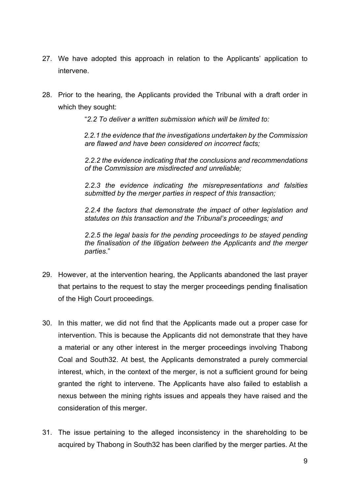- 27. We have adopted this approach in relation to the Applicants' application to intervene.
- 28. Prior to the hearing, the Applicants provided the Tribunal with a draft order in which they sought:

"*2.2 To deliver a written submission which will be limited to:* 

*2.2.1 the evidence that the investigations undertaken by the Commission are flawed and have been considered on incorrect facts;* 

*2.2.2 the evidence indicating that the conclusions and recommendations of the Commission are misdirected and unreliable;* 

*2.2.3 the evidence indicating the misrepresentations and falsities submitted by the merger parties in respect of this transaction;* 

*2.2.4 the factors that demonstrate the impact of other legislation and statutes on this transaction and the Tribunal's proceedings; and* 

*2.2.5 the legal basis for the pending proceedings to be stayed pending the finalisation of the litigation between the Applicants and the merger parties*."

- 29. However, at the intervention hearing, the Applicants abandoned the last prayer that pertains to the request to stay the merger proceedings pending finalisation of the High Court proceedings.
- 30. In this matter, we did not find that the Applicants made out a proper case for intervention. This is because the Applicants did not demonstrate that they have a material or any other interest in the merger proceedings involving Thabong Coal and South32. At best, the Applicants demonstrated a purely commercial interest, which, in the context of the merger, is not a sufficient ground for being granted the right to intervene. The Applicants have also failed to establish a nexus between the mining rights issues and appeals they have raised and the consideration of this merger.
- 31. The issue pertaining to the alleged inconsistency in the shareholding to be acquired by Thabong in South32 has been clarified by the merger parties. At the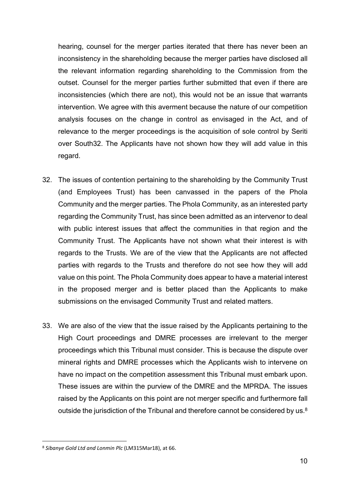hearing, counsel for the merger parties iterated that there has never been an inconsistency in the shareholding because the merger parties have disclosed all the relevant information regarding shareholding to the Commission from the outset. Counsel for the merger parties further submitted that even if there are inconsistencies (which there are not), this would not be an issue that warrants intervention. We agree with this averment because the nature of our competition analysis focuses on the change in control as envisaged in the Act, and of relevance to the merger proceedings is the acquisition of sole control by Seriti over South32. The Applicants have not shown how they will add value in this regard.

- 32. The issues of contention pertaining to the shareholding by the Community Trust (and Employees Trust) has been canvassed in the papers of the Phola Community and the merger parties. The Phola Community, as an interested party regarding the Community Trust, has since been admitted as an intervenor to deal with public interest issues that affect the communities in that region and the Community Trust. The Applicants have not shown what their interest is with regards to the Trusts. We are of the view that the Applicants are not affected parties with regards to the Trusts and therefore do not see how they will add value on this point. The Phola Community does appear to have a material interest in the proposed merger and is better placed than the Applicants to make submissions on the envisaged Community Trust and related matters.
- 33. We are also of the view that the issue raised by the Applicants pertaining to the High Court proceedings and DMRE processes are irrelevant to the merger proceedings which this Tribunal must consider. This is because the dispute over mineral rights and DMRE processes which the Applicants wish to intervene on have no impact on the competition assessment this Tribunal must embark upon. These issues are within the purview of the DMRE and the MPRDA. The issues raised by the Applicants on this point are not merger specific and furthermore fall outside the jurisdiction of the Tribunal and therefore cannot be considered by us.<sup>8</sup>

<sup>8</sup> *Sibanye Gold Ltd and Lonmin Plc* (LM315Mar18), at 66.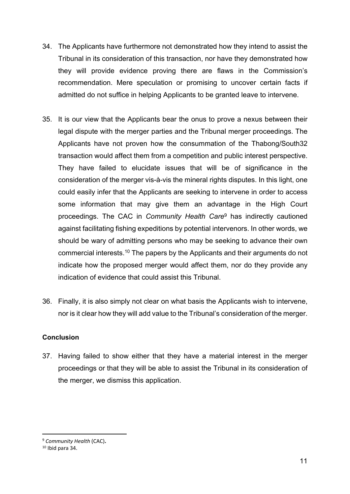- 34. The Applicants have furthermore not demonstrated how they intend to assist the Tribunal in its consideration of this transaction, nor have they demonstrated how they will provide evidence proving there are flaws in the Commission's recommendation. Mere speculation or promising to uncover certain facts if admitted do not suffice in helping Applicants to be granted leave to intervene.
- 35. It is our view that the Applicants bear the onus to prove a nexus between their legal dispute with the merger parties and the Tribunal merger proceedings. The Applicants have not proven how the consummation of the Thabong/South32 transaction would affect them from a competition and public interest perspective. They have failed to elucidate issues that will be of significance in the consideration of the merger vis-à-vis the mineral rights disputes. In this light, one could easily infer that the Applicants are seeking to intervene in order to access some information that may give them an advantage in the High Court proceedings. The CAC in *Community Health Care*<sup>9</sup> has indirectly cautioned against facilitating fishing expeditions by potential intervenors. In other words, we should be wary of admitting persons who may be seeking to advance their own commercial interests.<sup>10</sup> The papers by the Applicants and their arguments do not indicate how the proposed merger would affect them, nor do they provide any indication of evidence that could assist this Tribunal.
- 36. Finally, it is also simply not clear on what basis the Applicants wish to intervene, nor is it clear how they will add value to the Tribunal's consideration of the merger.

#### **Conclusion**

37. Having failed to show either that they have a material interest in the merger proceedings or that they will be able to assist the Tribunal in its consideration of the merger, we dismiss this application.

<sup>9</sup> *Community Health* (CAC)**.**

 $10$  Ibid para 34.